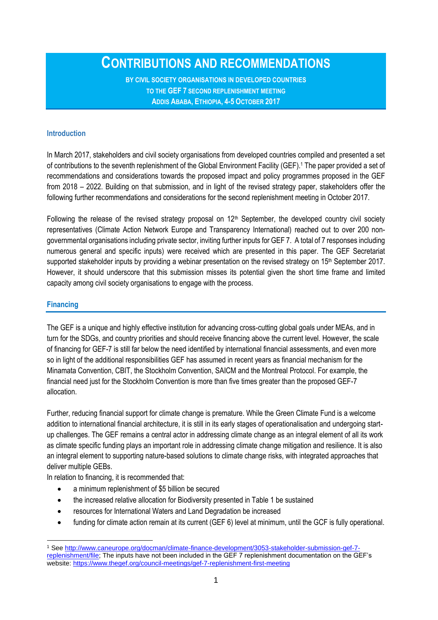**CONTRIBUTIONS AND RECOMMENDATIONS** 

**BY CIVIL SOCIETY ORGANISATIONS IN DEVELOPED COUNTRIES TO THE GEF 7 SECOND REPLENISHMENT MEETING ADDIS ABABA, ETHIOPIA, 4-5 OCTOBER 2017**

### **Introduction**

In March 2017, stakeholders and civil society organisations from developed countries compiled and presented a set of contributions to the seventh replenishment of the Global Environment Facility (GEF). <sup>1</sup> The paper provided a set of recommendations and considerations towards the proposed impact and policy programmes proposed in the GEF from 2018 – 2022. Building on that submission, and in light of the revised strategy paper, stakeholders offer the following further recommendations and considerations for the second replenishment meeting in October 2017.

Following the release of the revised strategy proposal on 12<sup>th</sup> September, the developed country civil society representatives (Climate Action Network Europe and Transparency International) reached out to over 200 nongovernmental organisations including private sector, inviting further inputs for GEF 7. A total of 7 responses including numerous general and specific inputs) were received which are presented in this paper. The GEF Secretariat supported stakeholder inputs by providing a webinar presentation on the revised strategy on 15<sup>th</sup> September 2017. However, it should underscore that this submission misses its potential given the short time frame and limited capacity among civil society organisations to engage with the process.

### **Financing**

The GEF is a unique and highly effective institution for advancing cross-cutting global goals under MEAs, and in turn for the SDGs, and country priorities and should receive financing above the current level. However, the scale of financing for GEF-7 is still far below the need identified by international financial assessments, and even more so in light of the additional responsibilities GEF has assumed in recent years as financial mechanism for the Minamata Convention, CBIT, the Stockholm Convention, SAICM and the Montreal Protocol. For example, the financial need just for the Stockholm Convention is more than five times greater than the proposed GEF-7 allocation.

Further, reducing financial support for climate change is premature. While the Green Climate Fund is a welcome addition to international financial architecture, it is still in its early stages of operationalisation and undergoing startup challenges. The GEF remains a central actor in addressing climate change as an integral element of all its work as climate specific funding plays an important role in addressing climate change mitigation and resilience. It is also an integral element to supporting nature-based solutions to climate change risks, with integrated approaches that deliver multiple GEBs.

In relation to financing, it is recommended that:

- a minimum replenishment of \$5 billion be secured
- the increased relative allocation for Biodiversity presented in Table 1 be sustained
- resources for International Waters and Land Degradation be increased
- funding for climate action remain at its current (GEF 6) level at minimum, until the GCF is fully operational.

<sup>1</sup> See [http://www.caneurope.org/docman/climate-finance-development/3053-stakeholder-submission-gef-7](http://www.caneurope.org/docman/climate-finance-development/3053-stakeholder-submission-gef-7-replenishment/file) [replenishment/file;](http://www.caneurope.org/docman/climate-finance-development/3053-stakeholder-submission-gef-7-replenishment/file) The inputs have not been included in the GEF 7 replenishment documentation on the GEF's website:<https://www.thegef.org/council-meetings/gef-7-replenishment-first-meeting>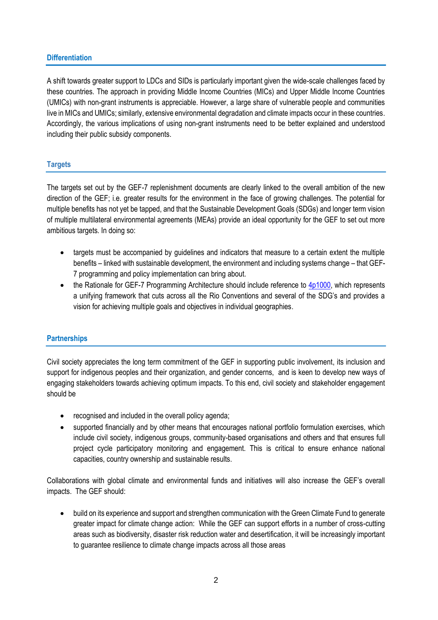## **Differentiation**

A shift towards greater support to LDCs and SIDs is particularly important given the wide-scale challenges faced by these countries. The approach in providing Middle Income Countries (MICs) and Upper Middle Income Countries (UMICs) with non-grant instruments is appreciable. However, a large share of vulnerable people and communities live in MICs and UMICs; similarly, extensive environmental degradation and climate impacts occur in these countries. Accordingly, the various implications of using non-grant instruments need to be better explained and understood including their public subsidy components.

# **Targets**

The targets set out by the GEF-7 replenishment documents are clearly linked to the overall ambition of the new direction of the GEF; i.e. greater results for the environment in the face of growing challenges. The potential for multiple benefits has not yet be tapped, and that the Sustainable Development Goals (SDGs) and longer term vision of multiple multilateral environmental agreements (MEAs) provide an ideal opportunity for the GEF to set out more ambitious targets. In doing so:

- targets must be accompanied by guidelines and indicators that measure to a certain extent the multiple benefits – linked with sustainable development, the environment and including systems change – that GEF-7 programming and policy implementation can bring about.
- $\bullet$  the Rationale for GEF-7 Programming Architecture should include reference to  $4p1000$ , which represents a unifying framework that cuts across all the Rio Conventions and several of the SDG's and provides a vision for achieving multiple goals and objectives in individual geographies.

# **Partnerships**

Civil society appreciates the long term commitment of the GEF in supporting public involvement, its inclusion and support for indigenous peoples and their organization, and gender concerns, and is keen to develop new ways of engaging stakeholders towards achieving optimum impacts. To this end, civil society and stakeholder engagement should be

- recognised and included in the overall policy agenda;
- supported financially and by other means that encourages national portfolio formulation exercises, which include civil society, indigenous groups, community-based organisations and others and that ensures full project cycle participatory monitoring and engagement. This is critical to ensure enhance national capacities, country ownership and sustainable results.

Collaborations with global climate and environmental funds and initiatives will also increase the GEF's overall impacts. The GEF should:

 build on its experience and support and strengthen communication with the Green Climate Fund to generate greater impact for climate change action: While the GEF can support efforts in a number of cross-cutting areas such as biodiversity, disaster risk reduction water and desertification, it will be increasingly important to guarantee resilience to climate change impacts across all those areas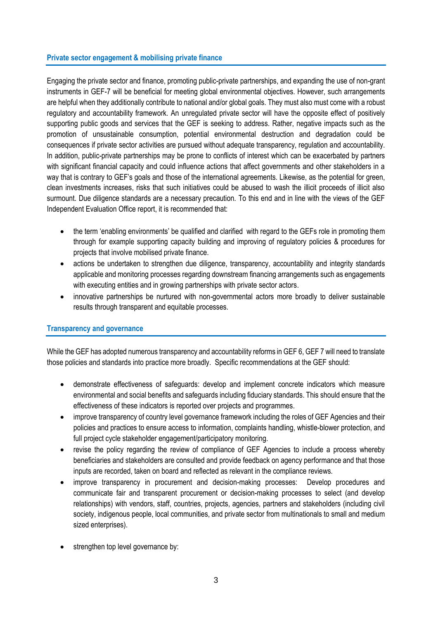### **Private sector engagement & mobilising private finance**

Engaging the private sector and finance, promoting public-private partnerships, and expanding the use of non-grant instruments in GEF-7 will be beneficial for meeting global environmental objectives. However, such arrangements are helpful when they additionally contribute to national and/or global goals. They must also must come with a robust regulatory and accountability framework. An unregulated private sector will have the opposite effect of positively supporting public goods and services that the GEF is seeking to address. Rather, negative impacts such as the promotion of unsustainable consumption, potential environmental destruction and degradation could be consequences if private sector activities are pursued without adequate transparency, regulation and accountability. In addition, public-private partnerships may be prone to conflicts of interest which can be exacerbated by partners with significant financial capacity and could influence actions that affect governments and other stakeholders in a way that is contrary to GEF's goals and those of the international agreements. Likewise, as the potential for green, clean investments increases, risks that such initiatives could be abused to wash the illicit proceeds of illicit also surmount. Due diligence standards are a necessary precaution. To this end and in line with the views of the GEF Independent Evaluation Office report, it is recommended that:

- the term 'enabling environments' be qualified and clarified with regard to the GEFs role in promoting them through for example supporting capacity building and improving of regulatory policies & procedures for projects that involve mobilised private finance.
- actions be undertaken to strengthen due diligence, transparency, accountability and integrity standards applicable and monitoring processes regarding downstream financing arrangements such as engagements with executing entities and in growing partnerships with private sector actors.
- innovative partnerships be nurtured with non-governmental actors more broadly to deliver sustainable results through transparent and equitable processes.

## **Transparency and governance**

While the GEF has adopted numerous transparency and accountability reforms in GEF 6, GEF 7 will need to translate those policies and standards into practice more broadly. Specific recommendations at the GEF should:

- demonstrate effectiveness of safeguards: develop and implement concrete indicators which measure environmental and social benefits and safeguards including fiduciary standards. This should ensure that the effectiveness of these indicators is reported over projects and programmes.
- improve transparency of country level governance framework including the roles of GEF Agencies and their policies and practices to ensure access to information, complaints handling, whistle-blower protection, and full project cycle stakeholder engagement/participatory monitoring.
- revise the policy regarding the review of compliance of GEF Agencies to include a process whereby beneficiaries and stakeholders are consulted and provide feedback on agency performance and that those inputs are recorded, taken on board and reflected as relevant in the compliance reviews.
- improve transparency in procurement and decision-making processes: Develop procedures and communicate fair and transparent procurement or decision-making processes to select (and develop relationships) with vendors, staff, countries, projects, agencies, partners and stakeholders (including civil society, indigenous people, local communities, and private sector from multinationals to small and medium sized enterprises).
- strengthen top level governance by: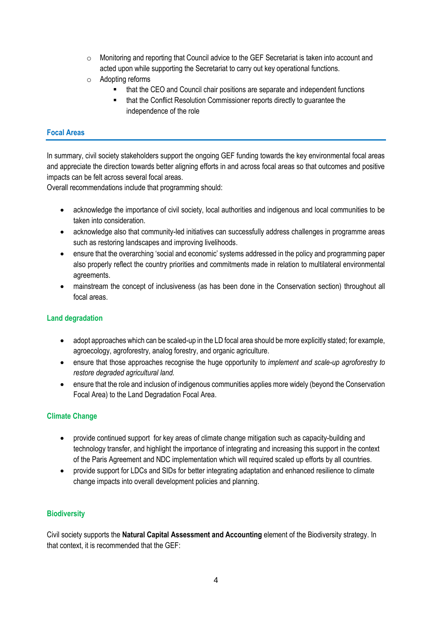- o Monitoring and reporting that Council advice to the GEF Secretariat is taken into account and acted upon while supporting the Secretariat to carry out key operational functions.
- o Adopting reforms
	- that the CEO and Council chair positions are separate and independent functions
	- **EXECO 11** that the Conflict Resolution Commissioner reports directly to guarantee the independence of the role

# **Focal Areas**

In summary, civil society stakeholders support the ongoing GEF funding towards the key environmental focal areas and appreciate the direction towards better aligning efforts in and across focal areas so that outcomes and positive impacts can be felt across several focal areas.

Overall recommendations include that programming should:

- acknowledge the importance of civil society, local authorities and indigenous and local communities to be taken into consideration.
- acknowledge also that community-led initiatives can successfully address challenges in programme areas such as restoring landscapes and improving livelihoods.
- ensure that the overarching 'social and economic' systems addressed in the policy and programming paper also properly reflect the country priorities and commitments made in relation to multilateral environmental agreements.
- mainstream the concept of inclusiveness (as has been done in the Conservation section) throughout all focal areas.

## **Land degradation**

- adopt approaches which can be scaled-up in the LD focal area should be more explicitly stated; for example, agroecology, agroforestry, analog forestry, and organic agriculture.
- ensure that those approaches recognise the huge opportunity to *implement and scale-up agroforestry to restore degraded agricultural land.*
- ensure that the role and inclusion of indigenous communities applies more widely (beyond the Conservation Focal Area) to the Land Degradation Focal Area.

## **Climate Change**

- provide continued support for key areas of climate change mitigation such as capacity-building and technology transfer, and highlight the importance of integrating and increasing this support in the context of the Paris Agreement and NDC implementation which will required scaled up efforts by all countries.
- provide support for LDCs and SIDs for better integrating adaptation and enhanced resilience to climate change impacts into overall development policies and planning.

# **Biodiversity**

Civil society supports the **Natural Capital Assessment and Accounting** element of the Biodiversity strategy. In that context, it is recommended that the GEF: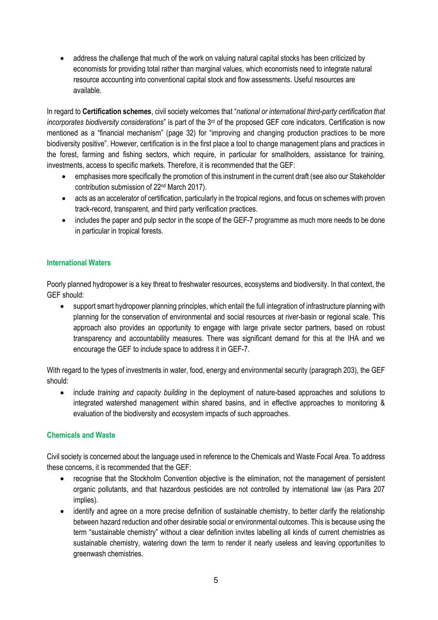• address the challenge that much of the work on valuing natural capital stocks has been criticized by economists for providing total rather than marginal values, which economists need to integrate natural resource accounting into conventional capital stock and flow assessments. Useful resources are available.

In regard to **Certification schemes**, civil society welcomes that "*national or international third-party certification that incorporates biodiversity considerations*" is part of the 3<sup>rd</sup> of the proposed GEF core indicators. Certification is now mentioned as a "financial mechanism" (page 32) for "improving and changing production practices to be more biodiversity positive". However, certification is in the first place a tool to change management plans and practices in the forest, farming and fishing sectors, which require, in particular for smallholders, assistance for training, investments, access to specific markets. Therefore, it is recommended that the GEF:

- emphasises more specifically the promotion of this instrument in the current draft (see also our Stakeholder contribution submission of 22nd March 2017).
- acts as an accelerator of certification, particularly in the tropical regions, and focus on schemes with proven track-record, transparent, and third party verification practices.
- includes the paper and pulp sector in the scope of the GEF-7 programme as much more needs to be done in particular in tropical forests.

# **International Waters**

Poorly planned hydropower is a key threat to freshwater resources, ecosystems and biodiversity. In that context, the GEF should:

 support smart hydropower planning principles, which entail the full integration of infrastructure planning with planning for the conservation of environmental and social resources at river-basin or regional scale. This approach also provides an opportunity to engage with large private sector partners, based on robust transparency and accountability measures. There was significant demand for this at the IHA and we encourage the GEF to include space to address it in GEF-7.

With regard to the types of investments in water, food, energy and environmental security (paragraph 203), the GEF should:

 include *training and capacity building* in the deployment of nature-based approaches and solutions to integrated watershed management within shared basins, and in effective approaches to monitoring & evaluation of the biodiversity and ecosystem impacts of such approaches.

## **Chemicals and Waste**

Civil society is concerned about the language used in reference to the Chemicals and Waste Focal Area. To address these concerns, it is recommended that the GEF:

- recognise that the Stockholm Convention objective is the elimination, not the management of persistent organic pollutants, and that hazardous pesticides are not controlled by international law (as Para 207 implies).
- identify and agree on a more precise definition of sustainable chemistry, to better clarify the relationship between hazard reduction and other desirable social or environmental outcomes. This is because using the term "sustainable chemistry" without a clear definition invites labelling all kinds of current chemistries as sustainable chemistry, watering down the term to render it nearly useless and leaving opportunities to greenwash chemistries.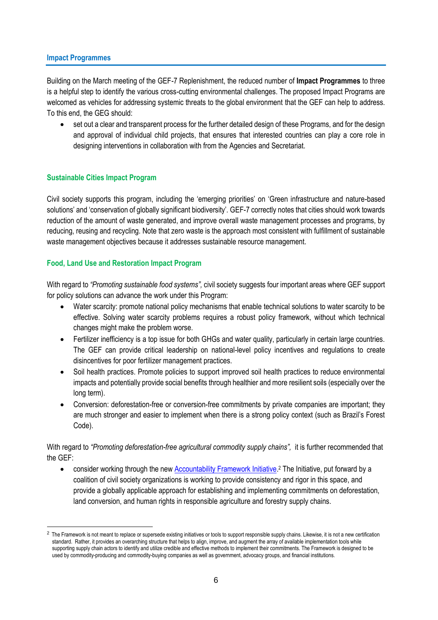### **Impact Programmes**

Building on the March meeting of the GEF-7 Replenishment, the reduced number of **Impact Programmes** to three is a helpful step to identify the various cross-cutting environmental challenges. The proposed Impact Programs are welcomed as vehicles for addressing systemic threats to the global environment that the GEF can help to address. To this end, the GEG should:

 set out a clear and transparent process for the further detailed design of these Programs, and for the design and approval of individual child projects, that ensures that interested countries can play a core role in designing interventions in collaboration with from the Agencies and Secretariat.

# **Sustainable Cities Impact Program**

Civil society supports this program, including the 'emerging priorities' on 'Green infrastructure and nature-based solutions' and 'conservation of globally significant biodiversity'. GEF-7 correctly notes that cities should work towards reduction of the amount of waste generated, and improve overall waste management processes and programs, by reducing, reusing and recycling. Note that zero waste is the approach most consistent with fulfillment of sustainable waste management objectives because it addresses sustainable resource management.

# **Food, Land Use and Restoration Impact Program**

With regard to *"Promoting sustainable food systems",* civil society suggests four important areas where GEF support for policy solutions can advance the work under this Program:

- Water scarcity: promote national policy mechanisms that enable technical solutions to water scarcity to be effective. Solving water scarcity problems requires a robust policy framework, without which technical changes might make the problem worse.
- Fertilizer inefficiency is a top issue for both GHGs and water quality, particularly in certain large countries. The GEF can provide critical leadership on national-level policy incentives and regulations to create disincentives for poor fertilizer management practices.
- Soil health practices. Promote policies to support improved soil health practices to reduce environmental impacts and potentially provide social benefits through healthier and more resilient soils (especially over the long term).
- Conversion: deforestation-free or conversion-free commitments by private companies are important; they are much stronger and easier to implement when there is a strong policy context (such as Brazil's Forest Code).

With regard to *"Promoting deforestation-free agricultural commodity supply chains",* it is further recommended that the GEF:

• consider working through the new **Accountability Framework Initiative**.<sup>2</sup> The Initiative, put forward by a coalition of civil society organizations is working to provide consistency and rigor in this space, and provide a globally applicable approach for establishing and implementing commitments on deforestation, land conversion, and human rights in responsible agriculture and forestry supply chains.

<sup>&</sup>lt;sup>2</sup> The Framework is not meant to replace or supersede existing initiatives or tools to support responsible supply chains. Likewise, it is not a new certification standard. Rather, it provides an overarching structure that helps to align, improve, and augment the array of available implementation tools while supporting supply chain actors to identify and utilize credible and effective methods to implement their commitments. The Framework is designed to be used by commodity-producing and commodity-buying companies as well as government, advocacy groups, and financial institutions.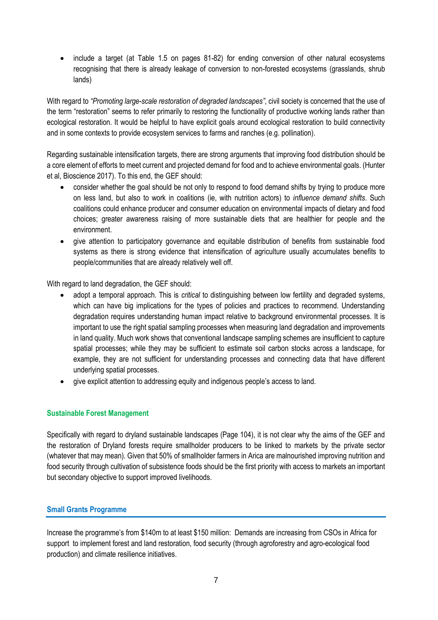• include a target (at Table 1.5 on pages 81-82) for ending conversion of other natural ecosystems recognising that there is already leakage of conversion to non-forested ecosystems (grasslands, shrub lands)

With regard to *"Promoting large-scale restoration of degraded landscapes"*, civil society is concerned that the use of the term "restoration" seems to refer primarily to restoring the functionality of productive working lands rather than ecological restoration. It would be helpful to have explicit goals around ecological restoration to build connectivity and in some contexts to provide ecosystem services to farms and ranches (e.g. pollination).

Regarding sustainable intensification targets, there are strong arguments that improving food distribution should be a core element of efforts to meet current and projected demand for food and to achieve environmental goals. (Hunter et al, Bioscience 2017). To this end, the GEF should:

- consider whether the goal should be not only to respond to food demand shifts by trying to produce more on less land, but also to work in coalitions (ie, with nutrition actors) to *influence demand shifts*. Such coalitions could enhance producer and consumer education on environmental impacts of dietary and food choices; greater awareness raising of more sustainable diets that are healthier for people and the environment.
- give attention to participatory governance and equitable distribution of benefits from sustainable food systems as there is strong evidence that intensification of agriculture usually accumulates benefits to people/communities that are already relatively well off.

With regard to land degradation, the GEF should:

- adopt a temporal approach. This is *critical* to distinguishing between low fertility and degraded systems, which can have big implications for the types of policies and practices to recommend. Understanding degradation requires understanding human impact relative to background environmental processes. It is important to use the right spatial sampling processes when measuring land degradation and improvements in land quality. Much work shows that conventional landscape sampling schemes are insufficient to capture spatial processes; while they may be sufficient to estimate soil carbon stocks across a landscape, for example, they are not sufficient for understanding processes and connecting data that have different underlying spatial processes.
- give explicit attention to addressing equity and indigenous people's access to land.

## **Sustainable Forest Management**

Specifically with regard to dryland sustainable landscapes (Page 104), it is not clear why the aims of the GEF and the restoration of Dryland forests require smallholder producers to be linked to markets by the private sector (whatever that may mean). Given that 50% of smallholder farmers in Arica are malnourished improving nutrition and food security through cultivation of subsistence foods should be the first priority with access to markets an important but secondary objective to support improved livelihoods.

## **Small Grants Programme**

Increase the programme's from \$140m to at least \$150 million: Demands are increasing from CSOs in Africa for support to implement forest and land restoration, food security (through agroforestry and agro-ecological food production) and climate resilience initiatives.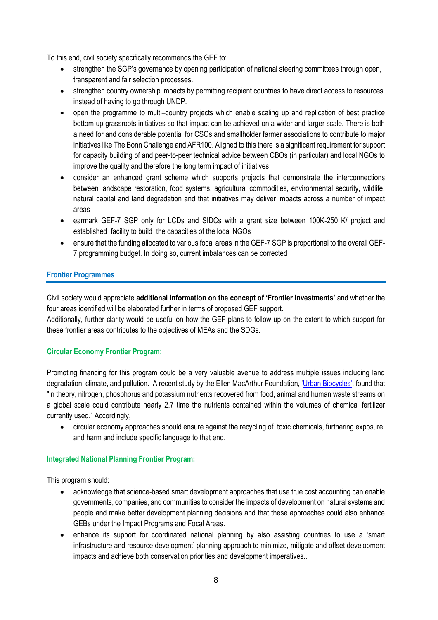To this end, civil society specifically recommends the GEF to:

- strengthen the SGP's governance by opening participation of national steering committees through open, transparent and fair selection processes.
- strengthen country ownership impacts by permitting recipient countries to have direct access to resources instead of having to go through UNDP.
- open the programme to multi–country projects which enable scaling up and replication of best practice bottom-up grassroots initiatives so that impact can be achieved on a wider and larger scale. There is both a need for and considerable potential for CSOs and smallholder farmer associations to contribute to major initiatives like The Bonn Challenge and AFR100. Aligned to this there is a significant requirement for support for capacity building of and peer-to-peer technical advice between CBOs (in particular) and local NGOs to improve the quality and therefore the long term impact of initiatives.
- consider an enhanced grant scheme which supports projects that demonstrate the interconnections between landscape restoration, food systems, agricultural commodities, environmental security, wildlife, natural capital and land degradation and that initiatives may deliver impacts across a number of impact areas
- earmark GEF-7 SGP only for LCDs and SIDCs with a grant size between 100K-250 K/ project and established facility to build the capacities of the local NGOs
- ensure that the funding allocated to various focal areas in the GEF-7 SGP is proportional to the overall GEF-7 programming budget. In doing so, current imbalances can be corrected

# **Frontier Programmes**

Civil society would appreciate **additional information on the concept of 'Frontier Investments'** and whether the four areas identified will be elaborated further in terms of proposed GEF support.

Additionally, further clarity would be useful on how the GEF plans to follow up on the extent to which support for these frontier areas contributes to the objectives of MEAs and the SDGs.

## **Circular Economy Frontier Program**:

Promoting financing for this program could be a very valuable avenue to address multiple issues including land degradation, climate, and pollution. A recent study by the Ellen MacArthur Foundation, ['Urban Biocycles'](https://www.ellenmacarthurfoundation.org/publications/urban-biocyles), found that "in theory, nitrogen, phosphorus and potassium nutrients recovered from food, animal and human waste streams on a global scale could contribute nearly 2.7 time the nutrients contained within the volumes of chemical fertilizer currently used." Accordingly,

 circular economy approaches should ensure against the recycling of toxic chemicals, furthering exposure and harm and include specific language to that end.

# **Integrated National Planning Frontier Program:**

This program should:

- acknowledge that science-based smart development approaches that use true cost accounting can enable governments, companies, and communities to consider the impacts of development on natural systems and people and make better development planning decisions and that these approaches could also enhance GEBs under the Impact Programs and Focal Areas.
- enhance its support for coordinated national planning by also assisting countries to use a 'smart infrastructure and resource development' planning approach to minimize, mitigate and offset development impacts and achieve both conservation priorities and development imperatives..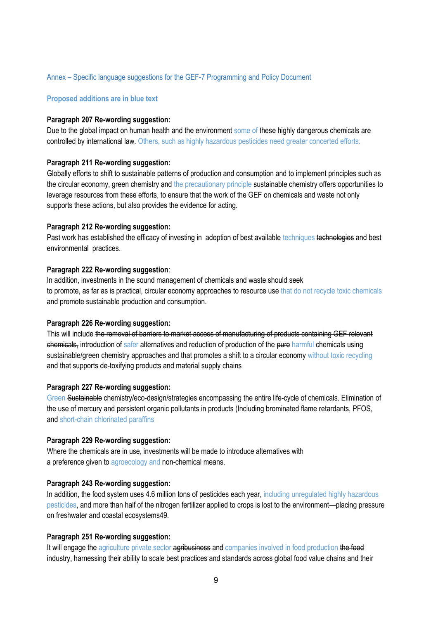### Annex – Specific language suggestions for the GEF-7 Programming and Policy Document

### **Proposed additions are in blue text**

#### **Paragraph 207 Re-wording suggestion:**

Due to the global impact on human health and the environment some of these highly dangerous chemicals are controlled by international law. Others, such as highly hazardous pesticides need greater concerted efforts.

#### **Paragraph 211 Re-wording suggestion:**

Globally efforts to shift to sustainable patterns of production and consumption and to implement principles such as the circular economy, green chemistry and the precautionary principle sustainable chemistry offers opportunities to leverage resources from these efforts, to ensure that the work of the GEF on chemicals and waste not only supports these actions, but also provides the evidence for acting.

#### **Paragraph 212 Re-wording suggestion:**

Past work has established the efficacy of investing in adoption of best available techniques technologies and best environmental practices.

### **Paragraph 222 Re-wording suggestion**:

In addition, investments in the sound management of chemicals and waste should seek to promote, as far as is practical, circular economy approaches to resource use that do not recycle toxic chemicals and promote sustainable production and consumption.

#### **Paragraph 226 Re-wording suggestion:**

This will include the removal of barriers to market access of manufacturing of products containing GEF relevant chemicals, introduction of safer alternatives and reduction of production of the pure harmful chemicals using sustainable/green chemistry approaches and that promotes a shift to a circular economy without toxic recycling and that supports de-toxifying products and material supply chains

#### **Paragraph 227 Re-wording suggestion:**

Green Sustainable chemistry/eco-design/strategies encompassing the entire life-cycle of chemicals. Elimination of the use of mercury and persistent organic pollutants in products (Including brominated flame retardants, PFOS, and short-chain chlorinated paraffins

### **Paragraph 229 Re-wording suggestion:**

Where the chemicals are in use, investments will be made to introduce alternatives with a preference given to agroecology and non-chemical means.

#### **Paragraph 243 Re-wording suggestion:**

In addition, the food system uses 4.6 million tons of pesticides each year, including unregulated highly hazardous pesticides, and more than half of the nitrogen fertilizer applied to crops is lost to the environment—placing pressure on freshwater and coastal ecosystems49.

#### **Paragraph 251 Re-wording suggestion:**

It will engage the agriculture private sector agribusiness and companies involved in food production the food industry, harnessing their ability to scale best practices and standards across global food value chains and their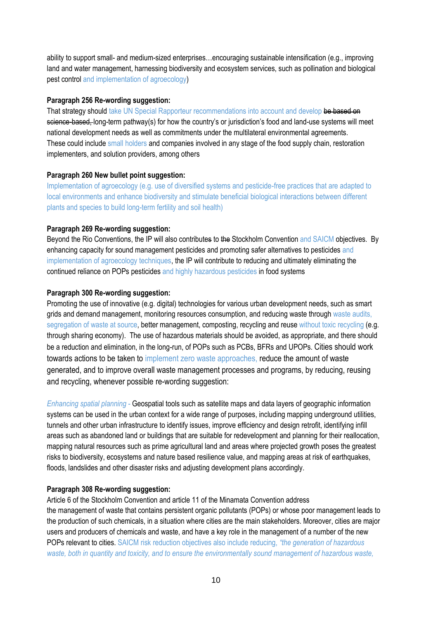ability to support small- and medium-sized enterprises…encouraging sustainable intensification (e.g., improving land and water management, harnessing biodiversity and ecosystem services, such as pollination and biological pest control and implementation of agroecology)

## **Paragraph 256 Re-wording suggestion:**

That strategy should take UN Special Rapporteur recommendations into account and develop be based on science-based, long-term pathway(s) for how the country's or jurisdiction's food and land-use systems will meet national development needs as well as commitments under the multilateral environmental agreements. These could include small holders and companies involved in any stage of the food supply chain, restoration implementers, and solution providers, among others

# **Paragraph 260 New bullet point suggestion:**

Implementation of agroecology (e.g. use of diversified systems and pesticide-free practices that are adapted to local environments and enhance biodiversity and stimulate beneficial biological interactions between different plants and species to build long-term fertility and soil health)

# **Paragraph 269 Re-wording suggestion:**

Beyond the Rio Conventions, the IP will also contributes to the Stockholm Convention and SAICM objectives. By enhancing capacity for sound management pesticides and promoting safer alternatives to pesticides and implementation of agroecology techniques, the IP will contribute to reducing and ultimately eliminating the continued reliance on POPs pesticides and highly hazardous pesticides in food systems

# **Paragraph 300 Re-wording suggestion:**

Promoting the use of innovative (e.g. digital) technologies for various urban development needs, such as smart grids and demand management, monitoring resources consumption, and reducing waste through waste audits, segregation of waste at source, better management, composting, recycling and reuse without toxic recycling (e.g. through sharing economy). The use of hazardous materials should be avoided, as appropriate, and there should be a reduction and elimination, in the long-run, of POPs such as PCBs, BFRs and UPOPs. Cities should work towards actions to be taken to implement zero waste approaches, reduce the amount of waste generated, and to improve overall waste management processes and programs, by reducing, reusing and recycling, whenever possible re-wording suggestion:

*Enhancing spatial planning* - Geospatial tools such as satellite maps and data layers of geographic information systems can be used in the urban context for a wide range of purposes, including mapping underground utilities, tunnels and other urban infrastructure to identify issues, improve efficiency and design retrofit, identifying infill areas such as abandoned land or buildings that are suitable for redevelopment and planning for their reallocation, mapping natural resources such as prime agricultural land and areas where projected growth poses the greatest risks to biodiversity, ecosystems and nature based resilience value, and mapping areas at risk of earthquakes, floods, landslides and other disaster risks and adjusting development plans accordingly.

## **Paragraph 308 Re-wording suggestion:**

Article 6 of the Stockholm Convention and article 11 of the Minamata Convention address the management of waste that contains persistent organic pollutants (POPs) or whose poor management leads to the production of such chemicals, in a situation where cities are the main stakeholders. Moreover, cities are major users and producers of chemicals and waste, and have a key role in the management of a number of the new POPs relevant to cities. SAICM risk reduction objectives also include reducing, *"the generation of hazardous waste, both in quantity and toxicity, and to ensure the environmentally sound management of hazardous waste,*